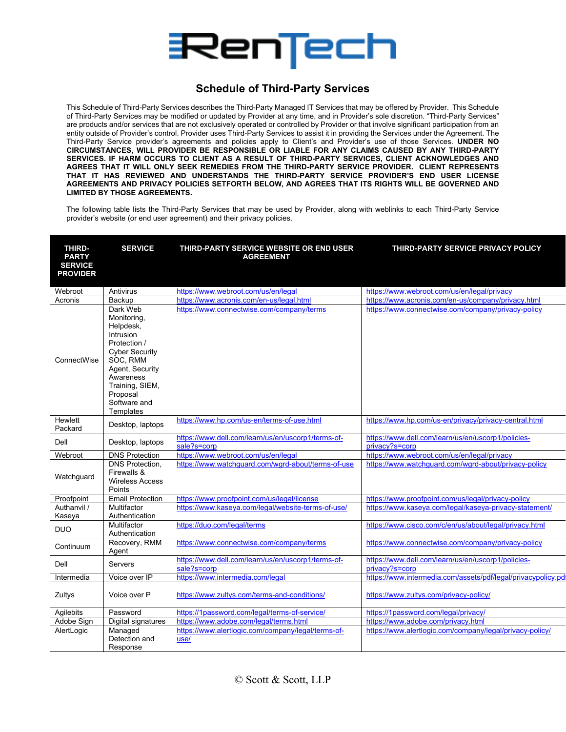

## **Schedule of Third-Party Services**

This Schedule of Third-Party Services describes the Third-Party Managed IT Services that may be offered by Provider. This Schedule of Third-Party Services may be modified or updated by Provider at any time, and in Provider's sole discretion. "Third-Party Services" are products and/or services that are not exclusively operated or controlled by Provider or that involve significant participation from an entity outside of Provider's control. Provider uses Third-Party Services to assist it in providing the Services under the Agreement. The Third-Party Service provider's agreements and policies apply to Client's and Provider's use of those Services. **UNDER NO CIRCUMSTANCES, WILL PROVIDER BE RESPONSIBLE OR LIABLE FOR ANY CLAIMS CAUSED BY ANY THIRD-PARTY SERVICES. IF HARM OCCURS TO CLIENT AS A RESULT OF THIRD-PARTY SERVICES, CLIENT ACKNOWLEDGES AND AGREES THAT IT WILL ONLY SEEK REMEDIES FROM THE THIRD-PARTY SERVICE PROVIDER. CLIENT REPRESENTS THAT IT HAS REVIEWED AND UNDERSTANDS THE THIRD-PARTY SERVICE PROVIDER'S END USER LICENSE AGREEMENTS AND PRIVACY POLICIES SETFORTH BELOW, AND AGREES THAT ITS RIGHTS WILL BE GOVERNED AND LIMITED BY THOSE AGREEMENTS.** 

The following table lists the Third-Party Services that may be used by Provider, along with weblinks to each Third-Party Service provider's website (or end user agreement) and their privacy policies.

| THIRD-<br><b>PARTY</b><br><b>SERVICE</b><br><b>PROVIDER</b> | <b>SERVICE</b>                                                                                                                                                                                            | THIRD-PARTY SERVICE WEBSITE OR END USER<br><b>AGREEMENT</b>       | THIRD-PARTY SERVICE PRIVACY POLICY                                   |
|-------------------------------------------------------------|-----------------------------------------------------------------------------------------------------------------------------------------------------------------------------------------------------------|-------------------------------------------------------------------|----------------------------------------------------------------------|
| Webroot                                                     | Antivirus                                                                                                                                                                                                 | https://www.webroot.com/us/en/legal                               | https://www.webroot.com/us/en/legal/privacy                          |
| Acronis                                                     | Backup                                                                                                                                                                                                    | https://www.acronis.com/en-us/legal.html                          | https://www.acronis.com/en-us/company/privacy.html                   |
| ConnectWise                                                 | Dark Web<br>Monitoring,<br>Helpdesk,<br><b>Intrusion</b><br>Protection /<br><b>Cyber Security</b><br>SOC, RMM<br>Agent, Security<br>Awareness<br>Training, SIEM,<br>Proposal<br>Software and<br>Templates | https://www.connectwise.com/company/terms                         | https://www.connectwise.com/company/privacy-policy                   |
| <b>Hewlett</b><br>Packard                                   | Desktop, laptops                                                                                                                                                                                          | https://www.hp.com/us-en/terms-of-use.html                        | https://www.hp.com/us-en/privacy/privacy-central.html                |
| Dell                                                        | Desktop, laptops                                                                                                                                                                                          | https://www.dell.com/learn/us/en/uscorp1/terms-of-<br>sale?s=corp | https://www.dell.com/learn/us/en/uscorp1/policies-<br>privacy?s=corp |
| Webroot                                                     | <b>DNS Protection</b>                                                                                                                                                                                     | https://www.webroot.com/us/en/legal                               | https://www.webroot.com/us/en/legal/privacy                          |
| Watchquard                                                  | <b>DNS Protection.</b><br>Firewalls &<br><b>Wireless Access</b><br>Points                                                                                                                                 | https://www.watchquard.com/wqrd-about/terms-of-use                | https://www.watchguard.com/wgrd-about/privacy-policy                 |
| Proofpoint                                                  | <b>Email Protection</b>                                                                                                                                                                                   | https://www.proofpoint.com/us/legal/license                       | https://www.proofpoint.com/us/legal/privacy-policy                   |
| Authanvil /<br>Kaseya                                       | Multifactor<br>Authentication                                                                                                                                                                             | https://www.kaseya.com/legal/website-terms-of-use/                | https://www.kaseya.com/legal/kaseya-privacy-statement/               |
| <b>DUO</b>                                                  | Multifactor<br>Authentication                                                                                                                                                                             | https://duo.com/legal/terms                                       | https://www.cisco.com/c/en/us/about/legal/privacy.html               |
| Continuum                                                   | Recovery, RMM<br>Agent                                                                                                                                                                                    | https://www.connectwise.com/company/terms                         | https://www.connectwise.com/company/privacy-policy                   |
| Dell                                                        | <b>Servers</b>                                                                                                                                                                                            | https://www.dell.com/learn/us/en/uscorp1/terms-of-<br>sale?s=corp | https://www.dell.com/learn/us/en/uscorp1/policies-<br>privacy?s=corp |
| Intermedia                                                  | Voice over IP                                                                                                                                                                                             | https://www.intermedia.com/legal                                  | https://www.intermedia.com/assets/pdf/legal/privacypolicy.pd         |
| Zultys                                                      | Voice over P                                                                                                                                                                                              | https://www.zultys.com/terms-and-conditions/                      | https://www.zultys.com/privacy-policy/                               |
| Agilebits                                                   | Password                                                                                                                                                                                                  | https://1password.com/legal/terms-of-service/                     | https://1password.com/legal/privacy/                                 |
| Adobe Sign                                                  | Digital signatures                                                                                                                                                                                        | https://www.adobe.com/legal/terms.html                            | https://www.adobe.com/privacy.html                                   |
| AlertLogic                                                  | Managed<br>Detection and<br>Response                                                                                                                                                                      | https://www.alertlogic.com/company/legal/terms-of-<br>use/        | https://www.alertlogic.com/company/legal/privacy-policy/             |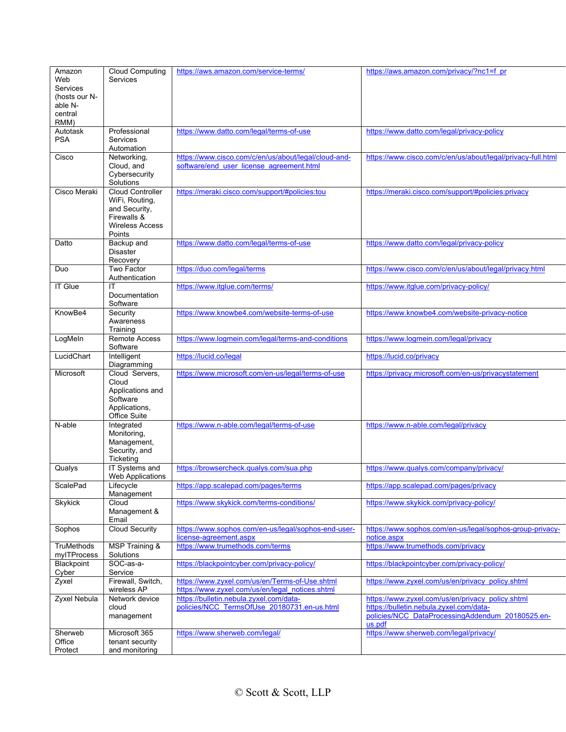| Amazon                           | <b>Cloud Computing</b>     | https://aws.amazon.com/service-terms/                | https://aws.amazon.com/privacy/?nc1=f_pr                    |
|----------------------------------|----------------------------|------------------------------------------------------|-------------------------------------------------------------|
| Web                              | Services                   |                                                      |                                                             |
| <b>Services</b>                  |                            |                                                      |                                                             |
| (hosts our N-                    |                            |                                                      |                                                             |
| able N-                          |                            |                                                      |                                                             |
| central                          |                            |                                                      |                                                             |
| RMM)                             |                            |                                                      |                                                             |
| Autotask                         | Professional               | https://www.datto.com/legal/terms-of-use             | https://www.datto.com/legal/privacy-policy                  |
| <b>PSA</b>                       | Services<br>Automation     |                                                      |                                                             |
| Cisco                            | Networking,                | https://www.cisco.com/c/en/us/about/legal/cloud-and- | https://www.cisco.com/c/en/us/about/legal/privacy-full.html |
|                                  | Cloud, and                 | software/end user license agreement.html             |                                                             |
|                                  | Cybersecurity              |                                                      |                                                             |
|                                  | Solutions                  |                                                      |                                                             |
| Cisco Meraki                     | Cloud Controller           | https://meraki.cisco.com/support/#policies:tou       | https://meraki.cisco.com/support/#policies:privacy          |
|                                  | WiFi, Routing,             |                                                      |                                                             |
|                                  | and Security,              |                                                      |                                                             |
|                                  | Firewalls &                |                                                      |                                                             |
|                                  | <b>Wireless Access</b>     |                                                      |                                                             |
|                                  | Points                     |                                                      |                                                             |
| Datto                            | Backup and                 | https://www.datto.com/legal/terms-of-use             | https://www.datto.com/legal/privacy-policy                  |
|                                  | <b>Disaster</b>            |                                                      |                                                             |
|                                  | Recovery                   |                                                      |                                                             |
| Duo                              | Two Factor                 | https://duo.com/legal/terms                          | https://www.cisco.com/c/en/us/about/legal/privacy.html      |
| <b>IT Glue</b>                   | Authentication<br>ΙT       | https://www.itglue.com/terms/                        | https://www.itglue.com/privacy-policy/                      |
|                                  | Documentation              |                                                      |                                                             |
|                                  | Software                   |                                                      |                                                             |
| KnowBe4                          | Security                   | https://www.knowbe4.com/website-terms-of-use         | https://www.knowbe4.com/website-privacy-notice              |
|                                  | Awareness                  |                                                      |                                                             |
|                                  | Training                   |                                                      |                                                             |
| LogMeIn                          | <b>Remote Access</b>       | https://www.logmein.com/legal/terms-and-conditions   | https://www.logmein.com/legal/privacy                       |
|                                  | Software                   |                                                      |                                                             |
| LucidChart                       | Intelligent                | https://lucid.co/legal                               | https://lucid.co/privacy                                    |
|                                  | Diagramming                |                                                      |                                                             |
| Microsoft                        | Cloud Servers,             | https://www.microsoft.com/en-us/legal/terms-of-use   | https://privacy.microsoft.com/en-us/privacystatement        |
|                                  | Cloud                      |                                                      |                                                             |
|                                  | Applications and           |                                                      |                                                             |
|                                  | Software                   |                                                      |                                                             |
|                                  | Applications,              |                                                      |                                                             |
| N-able                           | Office Suite<br>Integrated | https://www.n-able.com/legal/terms-of-use            | https://www.n-able.com/legal/privacy                        |
|                                  | Monitoring,                |                                                      |                                                             |
|                                  | Management,                |                                                      |                                                             |
|                                  | Security, and              |                                                      |                                                             |
|                                  | Ticketing                  |                                                      |                                                             |
| Qualys                           | IT Systems and             | https://browsercheck.qualys.com/sua.php              | https://www.qualys.com/company/privacy/                     |
|                                  | <b>Web Applications</b>    |                                                      |                                                             |
| ScalePad                         | Lifecycle                  | https://app.scalepad.com/pages/terms                 | https://app.scalepad.com/pages/privacy                      |
|                                  | Management                 |                                                      |                                                             |
| Skykick                          | Cloud                      | https://www.skykick.com/terms-conditions/            | https://www.skykick.com/privacy-policy/                     |
|                                  | Management &               |                                                      |                                                             |
|                                  | Email                      |                                                      |                                                             |
| Sophos                           | <b>Cloud Security</b>      | https://www.sophos.com/en-us/legal/sophos-end-user-  | https://www.sophos.com/en-us/legal/sophos-group-privacy-    |
|                                  |                            | license-agreement.aspx                               | notice.aspx                                                 |
| <b>TruMethods</b><br>mylTProcess | <b>MSP Training &amp;</b>  | https://www.trumethods.com/terms                     | https://www.trumethods.com/privacy                          |
| Blackpoint                       | Solutions<br>SOC-as-a-     | https://blackpointcyber.com/privacy-policy/          | https://blackpointcyber.com/privacy-policy/                 |
| Cyber                            | Service                    |                                                      |                                                             |
| Zyxel                            | Firewall, Switch,          | https://www.zyxel.com/us/en/Terms-of-Use.shtml       | https://www.zyxel.com/us/en/privacy_policy.shtml            |
|                                  | wireless AP                | https://www.zyxel.com/us/en/legal_notices.shtml      |                                                             |
| Zyxel Nebula                     | Network device             | https://bulletin.nebula.zyxel.com/data-              | https://www.zyxel.com/us/en/privacy_policy.shtml            |
|                                  | cloud                      | policies/NCC TermsOfUse 20180731.en-us.html          | https://bulletin.nebula.zyxel.com/data-                     |
|                                  | management                 |                                                      | policies/NCC DataProcessingAddendum 20180525.en-            |
|                                  |                            |                                                      | us.pdf                                                      |
| Sherweb                          | Microsoft 365              | https://www.sherweb.com/legal/                       | https://www.sherweb.com/legal/privacy/                      |
| Office                           | tenant security            |                                                      |                                                             |
| Protect                          | and monitoring             |                                                      |                                                             |